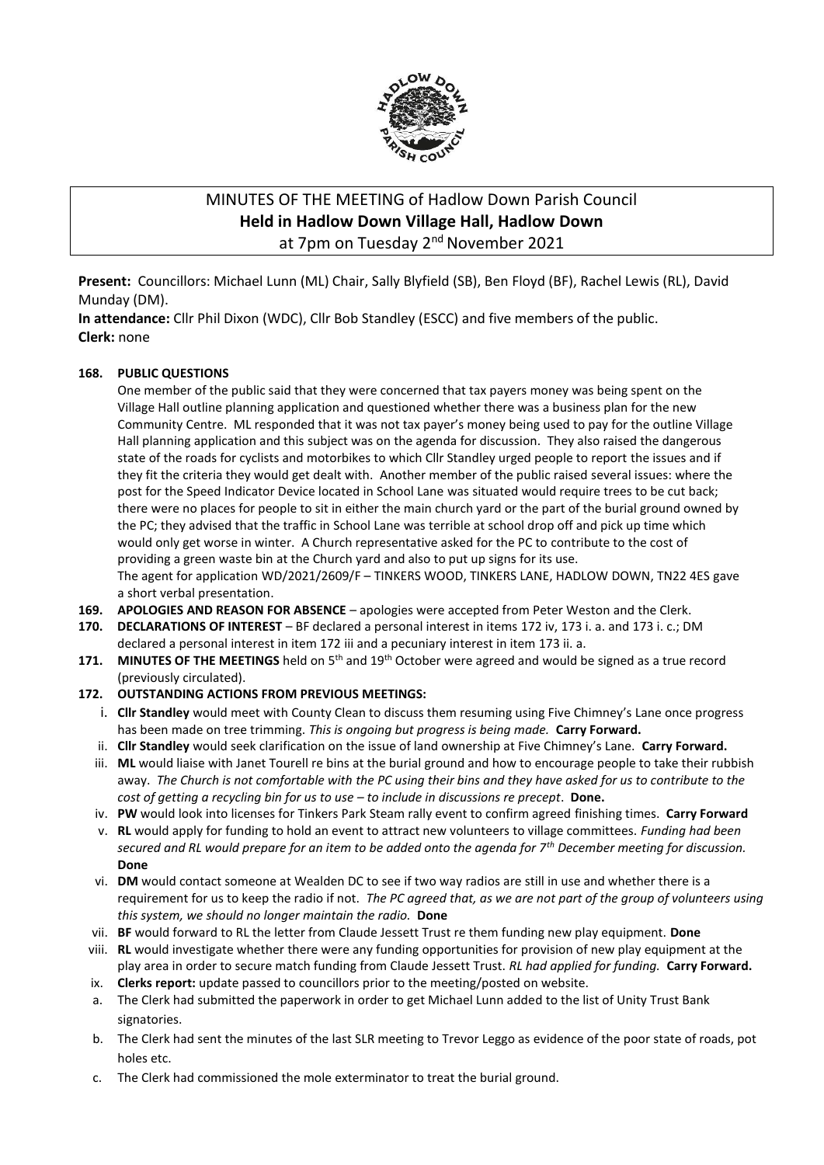

# MINUTES OF THE MEETING of Hadlow Down Parish Council **Held in Hadlow Down Village Hall, Hadlow Down** at 7pm on Tuesday 2<sup>nd</sup> November 2021

**Present:** Councillors: Michael Lunn (ML) Chair, Sally Blyfield (SB), Ben Floyd (BF), Rachel Lewis (RL), David Munday (DM).

**In attendance:** Cllr Phil Dixon (WDC), Cllr Bob Standley (ESCC) and five members of the public. **Clerk:** none

## **168. PUBLIC QUESTIONS**

One member of the public said that they were concerned that tax payers money was being spent on the Village Hall outline planning application and questioned whether there was a business plan for the new Community Centre. ML responded that it was not tax payer's money being used to pay for the outline Village Hall planning application and this subject was on the agenda for discussion. They also raised the dangerous state of the roads for cyclists and motorbikes to which Cllr Standley urged people to report the issues and if they fit the criteria they would get dealt with. Another member of the public raised several issues: where the post for the Speed Indicator Device located in School Lane was situated would require trees to be cut back; there were no places for people to sit in either the main church yard or the part of the burial ground owned by the PC; they advised that the traffic in School Lane was terrible at school drop off and pick up time which would only get worse in winter. A Church representative asked for the PC to contribute to the cost of providing a green waste bin at the Church yard and also to put up signs for its use. The agent for application WD/2021/2609/F – TINKERS WOOD, TINKERS LANE, HADLOW DOWN, TN22 4ES gave

a short verbal presentation.

- **169. APOLOGIES AND REASON FOR ABSENCE** apologies were accepted from Peter Weston and the Clerk.
- **170. DECLARATIONS OF INTEREST**  BF declared a personal interest in items 172 iv, 173 i. a. and 173 i. c.; DM declared a personal interest in item 172 iii and a pecuniary interest in item 173 ii. a.
- **171. MINUTES OF THE MEETINGS** held on 5th and 19th October were agreed and would be signed as a true record (previously circulated).
- **172. OUTSTANDING ACTIONS FROM PREVIOUS MEETINGS:**
	- i. **Cllr Standley** would meet with County Clean to discuss them resuming using Five Chimney's Lane once progress has been made on tree trimming. *This is ongoing but progress is being made.* **Carry Forward.**
	- ii. **Cllr Standley** would seek clarification on the issue of land ownership at Five Chimney's Lane. **Carry Forward.**
	- iii. **ML** would liaise with Janet Tourell re bins at the burial ground and how to encourage people to take their rubbish away. *The Church is not comfortable with the PC using their bins and they have asked for us to contribute to the cost of getting a recycling bin for us to use – to include in discussions re precept*. **Done.**
	- iv. **PW** would look into licenses for Tinkers Park Steam rally event to confirm agreed finishing times. **Carry Forward**
	- v. **RL** would apply for funding to hold an event to attract new volunteers to village committees. *Funding had been secured and RL would prepare for an item to be added onto the agenda for 7th December meeting for discussion.*  **Done**
	- vi. **DM** would contact someone at Wealden DC to see if two way radios are still in use and whether there is a requirement for us to keep the radio if not. *The PC agreed that, as we are not part of the group of volunteers using this system, we should no longer maintain the radio.* **Done**
	- vii. **BF** would forward to RL the letter from Claude Jessett Trust re them funding new play equipment. **Done**
	- viii. **RL** would investigate whether there were any funding opportunities for provision of new play equipment at the play area in order to secure match funding from Claude Jessett Trust. *RL had applied for funding.* **Carry Forward.**
	- ix. **Clerks report:** update passed to councillors prior to the meeting/posted on website.
	- a. The Clerk had submitted the paperwork in order to get Michael Lunn added to the list of Unity Trust Bank signatories.
	- b. The Clerk had sent the minutes of the last SLR meeting to Trevor Leggo as evidence of the poor state of roads, pot holes etc.
	- c. The Clerk had commissioned the mole exterminator to treat the burial ground.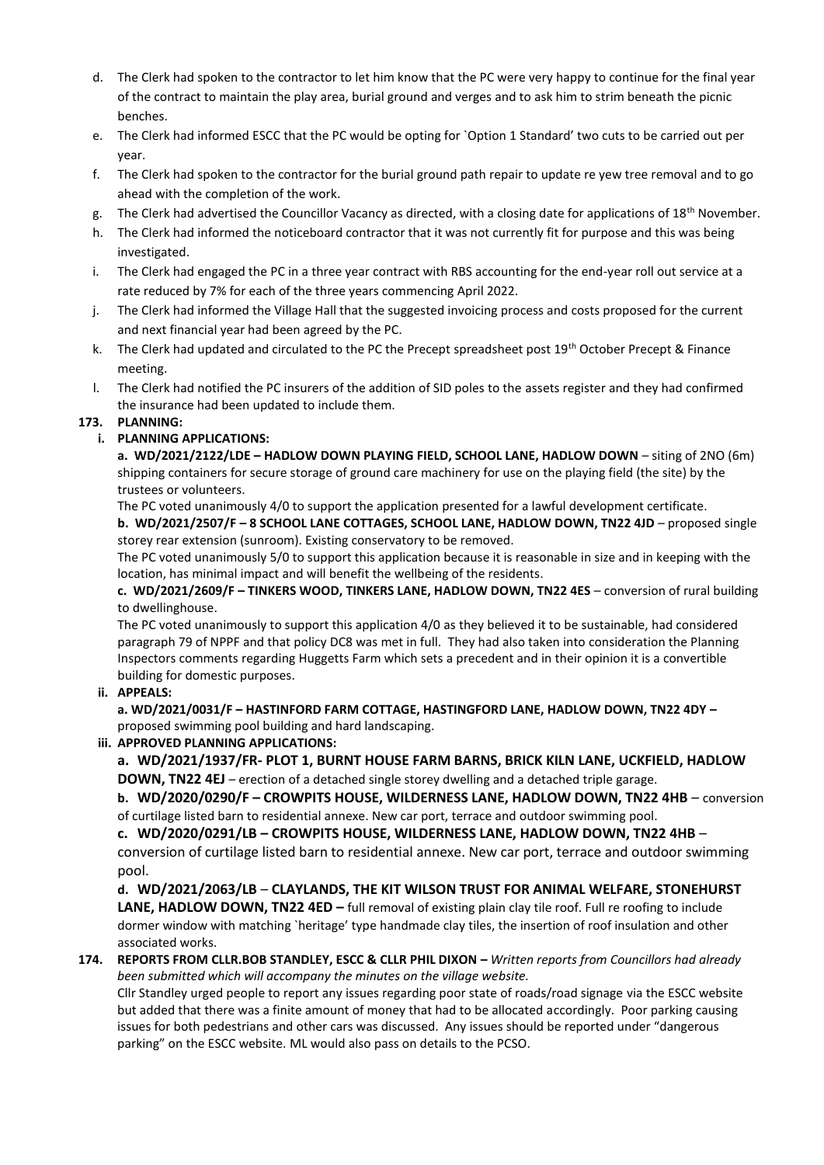- d. The Clerk had spoken to the contractor to let him know that the PC were very happy to continue for the final year of the contract to maintain the play area, burial ground and verges and to ask him to strim beneath the picnic benches.
- e. The Clerk had informed ESCC that the PC would be opting for `Option 1 Standard' two cuts to be carried out per year.
- f. The Clerk had spoken to the contractor for the burial ground path repair to update re yew tree removal and to go ahead with the completion of the work.
- g. The Clerk had advertised the Councillor Vacancy as directed, with a closing date for applications of  $18<sup>th</sup>$  November.
- h. The Clerk had informed the noticeboard contractor that it was not currently fit for purpose and this was being investigated.
- i. The Clerk had engaged the PC in a three year contract with RBS accounting for the end-year roll out service at a rate reduced by 7% for each of the three years commencing April 2022.
- j. The Clerk had informed the Village Hall that the suggested invoicing process and costs proposed for the current and next financial year had been agreed by the PC.
- k. The Clerk had updated and circulated to the PC the Precept spreadsheet post 19<sup>th</sup> October Precept & Finance meeting.
- l. The Clerk had notified the PC insurers of the addition of SID poles to the assets register and they had confirmed the insurance had been updated to include them.

## **173. PLANNING:**

## **i. PLANNING APPLICATIONS:**

**a. WD/2021/2122/LDE – HADLOW DOWN PLAYING FIELD, SCHOOL LANE, HADLOW DOWN** – siting of 2NO (6m) shipping containers for secure storage of ground care machinery for use on the playing field (the site) by the trustees or volunteers.

The PC voted unanimously 4/0 to support the application presented for a lawful development certificate. **b. WD/2021/2507/F – 8 SCHOOL LANE COTTAGES, SCHOOL LANE, HADLOW DOWN, TN22 4JD** – proposed single storey rear extension (sunroom). Existing conservatory to be removed.

The PC voted unanimously 5/0 to support this application because it is reasonable in size and in keeping with the location, has minimal impact and will benefit the wellbeing of the residents.

**c. WD/2021/2609/F – TINKERS WOOD, TINKERS LANE, HADLOW DOWN, TN22 4ES** – conversion of rural building to dwellinghouse.

The PC voted unanimously to support this application 4/0 as they believed it to be sustainable, had considered paragraph 79 of NPPF and that policy DC8 was met in full. They had also taken into consideration the Planning Inspectors comments regarding Huggetts Farm which sets a precedent and in their opinion it is a convertible building for domestic purposes.

#### **ii. APPEALS:**

**a. WD/2021/0031/F – HASTINFORD FARM COTTAGE, HASTINGFORD LANE, HADLOW DOWN, TN22 4DY –** proposed swimming pool building and hard landscaping.

**iii. APPROVED PLANNING APPLICATIONS:**

**a. WD/2021/1937/FR- PLOT 1, BURNT HOUSE FARM BARNS, BRICK KILN LANE, UCKFIELD, HADLOW DOWN, TN22 4EJ** – erection of a detached single storey dwelling and a detached triple garage.

**b. WD/2020/0290/F – CROWPITS HOUSE, WILDERNESS LANE, HADLOW DOWN, TN22 4HB** – conversion of curtilage listed barn to residential annexe. New car port, terrace and outdoor swimming pool.

**c. WD/2020/0291/LB – CROWPITS HOUSE, WILDERNESS LANE, HADLOW DOWN, TN22 4HB** –

conversion of curtilage listed barn to residential annexe. New car port, terrace and outdoor swimming pool.

**d. WD/2021/2063/LB** – **CLAYLANDS, THE KIT WILSON TRUST FOR ANIMAL WELFARE, STONEHURST LANE, HADLOW DOWN, TN22 4ED –** full removal of existing plain clay tile roof. Full re roofing to include dormer window with matching `heritage' type handmade clay tiles, the insertion of roof insulation and other associated works.

#### **174. REPORTS FROM CLLR.BOB STANDLEY, ESCC & CLLR PHIL DIXON –** *Written reports from Councillors had already been submitted which will accompany the minutes on the village website.*

Cllr Standley urged people to report any issues regarding poor state of roads/road signage via the ESCC website but added that there was a finite amount of money that had to be allocated accordingly. Poor parking causing issues for both pedestrians and other cars was discussed. Any issues should be reported under "dangerous parking" on the ESCC website. ML would also pass on details to the PCSO.